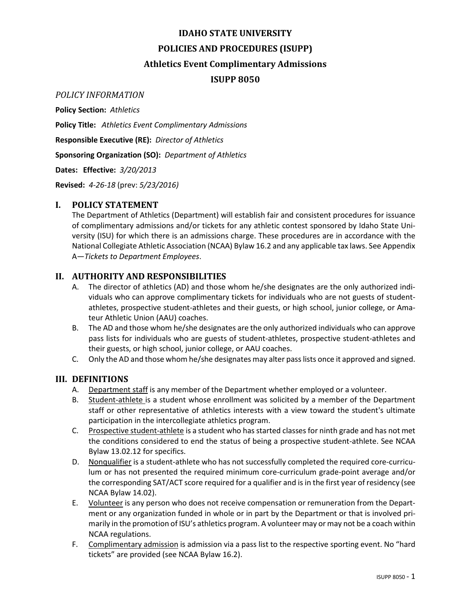## **IDAHO STATE UNIVERSITY POLICIES AND PROCEDURES (ISUPP)**

#### **Athletics Event Complimentary Admissions**

#### **ISUPP 8050**

#### *POLICY INFORMATION*

**Policy Section:** *Athletics*

**Policy Title:** *Athletics Event Complimentary Admissions*

**Responsible Executive (RE):** *Director of Athletics*

**Sponsoring Organization (SO):** *Department of Athletics*

**Dates: Effective:** *3/20/2013*

**Revised:** *4-26-18* (prev: *5/23/2016)*

#### **I. POLICY STATEMENT**

The Department of Athletics (Department) will establish fair and consistent procedures for issuance of complimentary admissions and/or tickets for any athletic contest sponsored by Idaho State University (ISU) for which there is an admissions charge. These procedures are in accordance with the National Collegiate Athletic Association (NCAA) Bylaw 16.2 and any applicable tax laws. See Appendix A—*Tickets to Department Employees*.

#### **II. AUTHORITY AND RESPONSIBILITIES**

- A. The director of athletics (AD) and those whom he/she designates are the only authorized individuals who can approve complimentary tickets for individuals who are not guests of studentathletes, prospective student-athletes and their guests, or high school, junior college, or Amateur Athletic Union (AAU) coaches.
- B. The AD and those whom he/she designates are the only authorized individuals who can approve pass lists for individuals who are guests of student-athletes, prospective student-athletes and their guests, or high school, junior college, or AAU coaches.
- C. Only the AD and those whom he/she designates may alter pass lists once it approved and signed.

#### **III. DEFINITIONS**

- A. Department staff is any member of the Department whether employed or a volunteer.
- B. Student-athlete is a student whose enrollment was solicited by a member of the Department staff or other representative of athletics interests with a view toward the student's ultimate participation in the intercollegiate athletics program.
- C. Prospective student-athlete is a student who has started classes for ninth grade and has not met the conditions considered to end the status of being a prospective student-athlete. See NCAA Bylaw 13.02.12 for specifics.
- D. Nonqualifier is a student-athlete who has not successfully completed the required core-curriculum or has not presented the required minimum core-curriculum grade-point average and/or the corresponding SAT/ACT score required for a qualifier and is in the first year of residency (see NCAA Bylaw 14.02).
- E. Volunteer is any person who does not receive compensation or remuneration from the Department or any organization funded in whole or in part by the Department or that is involved primarily in the promotion of ISU's athletics program. A volunteer may or may not be a coach within NCAA regulations.
- F. Complimentary admission is admission via a pass list to the respective sporting event. No "hard tickets" are provided (see NCAA Bylaw 16.2).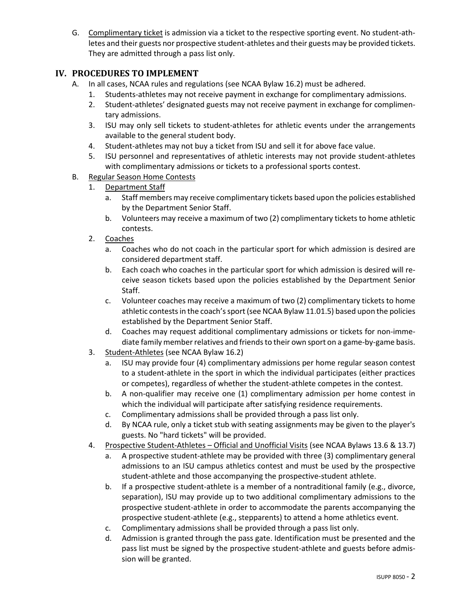G. Complimentary ticket is admission via a ticket to the respective sporting event. No student-athletes and their guests nor prospective student-athletes and their guests may be provided tickets. They are admitted through a pass list only.

#### **IV. PROCEDURES TO IMPLEMENT**

- A. In all cases, NCAA rules and regulations (see NCAA Bylaw 16.2) must be adhered.
	- 1. Students-athletes may not receive payment in exchange for complimentary admissions.
	- 2. Student-athletes' designated guests may not receive payment in exchange for complimentary admissions.
	- 3. ISU may only sell tickets to student-athletes for athletic events under the arrangements available to the general student body.
	- 4. Student-athletes may not buy a ticket from ISU and sell it for above face value.
	- 5. ISU personnel and representatives of athletic interests may not provide student-athletes with complimentary admissions or tickets to a professional sports contest.
- B. Regular Season Home Contests
	- 1. Department Staff
		- a. Staff members may receive complimentary tickets based upon the policies established by the Department Senior Staff.
		- b. Volunteers may receive a maximum of two (2) complimentary tickets to home athletic contests.
	- 2. Coaches
		- a. Coaches who do not coach in the particular sport for which admission is desired are considered department staff.
		- b. Each coach who coaches in the particular sport for which admission is desired will receive season tickets based upon the policies established by the Department Senior Staff.
		- c. Volunteer coaches may receive a maximum of two (2) complimentary tickets to home athletic contests in the coach's sport (see NCAA Bylaw 11.01.5) based upon the policies established by the Department Senior Staff.
		- d. Coaches may request additional complimentary admissions or tickets for non-immediate family member relatives and friends to their own sport on a game-by-game basis.
	- 3. Student-Athletes (see NCAA Bylaw 16.2)
		- a. ISU may provide four (4) complimentary admissions per home regular season contest to a student-athlete in the sport in which the individual participates (either practices or competes), regardless of whether the student-athlete competes in the contest.
		- b. A non-qualifier may receive one (1) complimentary admission per home contest in which the individual will participate after satisfying residence requirements.
		- c. Complimentary admissions shall be provided through a pass list only.
		- d. By NCAA rule, only a ticket stub with seating assignments may be given to the player's guests. No "hard tickets" will be provided.
	- 4. Prospective Student-Athletes Official and Unofficial Visits (see NCAA Bylaws 13.6 & 13.7)
		- a. A prospective student-athlete may be provided with three (3) complimentary general admissions to an ISU campus athletics contest and must be used by the prospective student-athlete and those accompanying the prospective-student athlete.
		- b. If a prospective student-athlete is a member of a nontraditional family (e.g., divorce, separation), ISU may provide up to two additional complimentary admissions to the prospective student-athlete in order to accommodate the parents accompanying the prospective student-athlete (e.g., stepparents) to attend a home athletics event.
		- c. Complimentary admissions shall be provided through a pass list only.
		- d. Admission is granted through the pass gate. Identification must be presented and the pass list must be signed by the prospective student-athlete and guests before admission will be granted.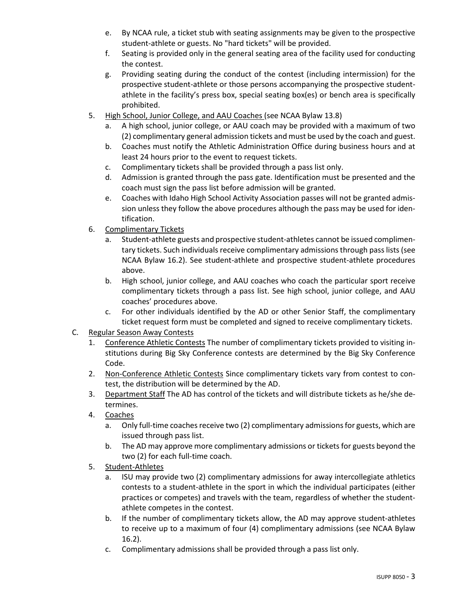- e. By NCAA rule, a ticket stub with seating assignments may be given to the prospective student-athlete or guests. No "hard tickets" will be provided.
- f. Seating is provided only in the general seating area of the facility used for conducting the contest.
- g. Providing seating during the conduct of the contest (including intermission) for the prospective student-athlete or those persons accompanying the prospective studentathlete in the facility's press box, special seating box(es) or bench area is specifically prohibited.
- 5. High School, Junior College, and AAU Coaches (see NCAA Bylaw 13.8)
	- a. A high school, junior college, or AAU coach may be provided with a maximum of two (2) complimentary general admission tickets and must be used by the coach and guest.
	- b. Coaches must notify the Athletic Administration Office during business hours and at least 24 hours prior to the event to request tickets.
	- c. Complimentary tickets shall be provided through a pass list only.
	- d. Admission is granted through the pass gate. Identification must be presented and the coach must sign the pass list before admission will be granted.
	- e. Coaches with Idaho High School Activity Association passes will not be granted admission unless they follow the above procedures although the pass may be used for identification.
- 6. Complimentary Tickets
	- a. Student-athlete guests and prospective student-athletes cannot be issued complimentary tickets. Such individuals receive complimentary admissions through pass lists (see NCAA Bylaw 16.2). See student-athlete and prospective student-athlete procedures above.
	- b. High school, junior college, and AAU coaches who coach the particular sport receive complimentary tickets through a pass list. See high school, junior college, and AAU coaches' procedures above.
	- c. For other individuals identified by the AD or other Senior Staff, the complimentary ticket request form must be completed and signed to receive complimentary tickets.
- C. Regular Season Away Contests
	- 1. Conference Athletic Contests The number of complimentary tickets provided to visiting institutions during Big Sky Conference contests are determined by the Big Sky Conference Code.
	- 2. Non-Conference Athletic Contests Since complimentary tickets vary from contest to contest, the distribution will be determined by the AD.
	- 3. Department Staff The AD has control of the tickets and will distribute tickets as he/she determines.
	- 4. Coaches
		- a. Only full-time coaches receive two (2) complimentary admissionsfor guests, which are issued through pass list.
		- b. The AD may approve more complimentary admissions or tickets for guests beyond the two (2) for each full-time coach.
	- 5. Student-Athletes
		- a. ISU may provide two (2) complimentary admissions for away intercollegiate athletics contests to a student-athlete in the sport in which the individual participates (either practices or competes) and travels with the team, regardless of whether the studentathlete competes in the contest.
		- b. If the number of complimentary tickets allow, the AD may approve student-athletes to receive up to a maximum of four (4) complimentary admissions (see NCAA Bylaw 16.2).
		- c. Complimentary admissions shall be provided through a pass list only.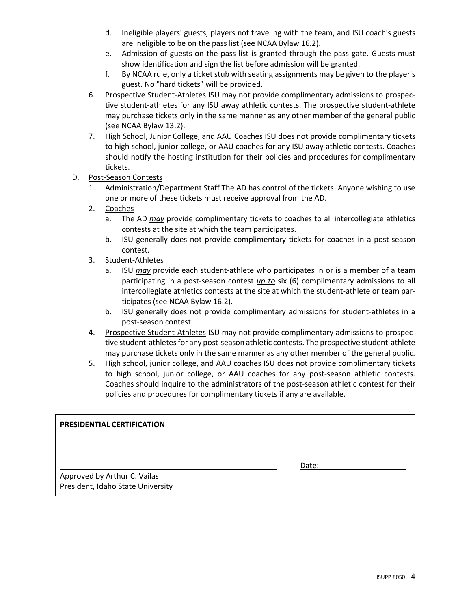- d. Ineligible players' guests, players not traveling with the team, and ISU coach's guests are ineligible to be on the pass list (see NCAA Bylaw 16.2).
- e. Admission of guests on the pass list is granted through the pass gate. Guests must show identification and sign the list before admission will be granted.
- f. By NCAA rule, only a ticket stub with seating assignments may be given to the player's guest. No "hard tickets" will be provided.
- 6. Prospective Student-Athletes ISU may not provide complimentary admissions to prospective student-athletes for any ISU away athletic contests. The prospective student-athlete may purchase tickets only in the same manner as any other member of the general public (see NCAA Bylaw 13.2).
- 7. High School, Junior College, and AAU Coaches ISU does not provide complimentary tickets to high school, junior college, or AAU coaches for any ISU away athletic contests. Coaches should notify the hosting institution for their policies and procedures for complimentary tickets.
- D. Post-Season Contests
	- 1. Administration/Department Staff The AD has control of the tickets. Anyone wishing to use one or more of these tickets must receive approval from the AD.
	- 2. Coaches
		- a. The AD *may* provide complimentary tickets to coaches to all intercollegiate athletics contests at the site at which the team participates.
		- b. ISU generally does not provide complimentary tickets for coaches in a post-season contest.
	- 3. Student-Athletes
		- a. ISU *may* provide each student-athlete who participates in or is a member of a team participating in a post-season contest *up to* six (6) complimentary admissions to all intercollegiate athletics contests at the site at which the student-athlete or team participates (see NCAA Bylaw 16.2).
		- b. ISU generally does not provide complimentary admissions for student-athletes in a post-season contest.
	- 4. Prospective Student-Athletes ISU may not provide complimentary admissions to prospective student-athletes for any post-season athletic contests. The prospective student-athlete may purchase tickets only in the same manner as any other member of the general public.
	- 5. High school, junior college, and AAU coaches ISU does not provide complimentary tickets to high school, junior college, or AAU coaches for any post-season athletic contests. Coaches should inquire to the administrators of the post-season athletic contest for their policies and procedures for complimentary tickets if any are available.

#### **PRESIDENTIAL CERTIFICATION**

Date:

Approved by Arthur C. Vailas President, Idaho State University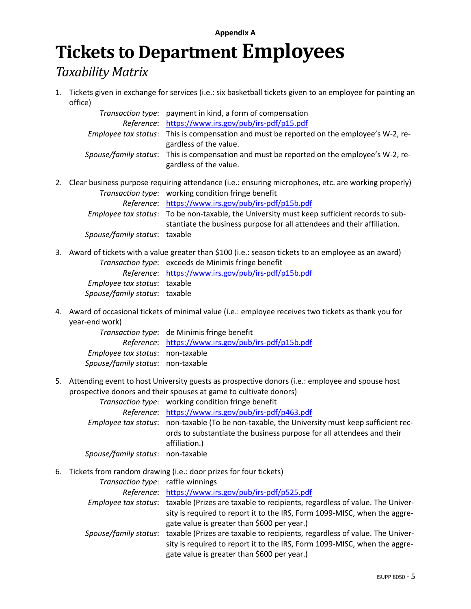#### **Appendix A**

# **Tickets to Department Employees**

### *Taxability Matrix*

1. Tickets given in exchange for services (i.e.: six basketball tickets given to an employee for painting an office)

| Transaction type: payment in kind, a form of compensation                                         |
|---------------------------------------------------------------------------------------------------|
| Reference: https://www.irs.gov/pub/irs-pdf/p15.pdf                                                |
| <i>Employee tax status</i> : This is compensation and must be reported on the employee's W-2, re- |
| gardless of the value.                                                                            |
| Spouse/family status: This is compensation and must be reported on the employee's W-2, re-        |
| gardless of the value.                                                                            |

- 2. Clear business purpose requiring attendance (i.e.: ensuring microphones, etc. are working properly) *Transaction type*: working condition fringe benefit *Reference*: <https://www.irs.gov/pub/irs-pdf/p15b.pdf> *Employee tax status*: To be non-taxable, the University must keep sufficient records to substantiate the business purpose for all attendees and their affiliation. *Spouse/family status*: taxable
- 3. Award of tickets with a value greater than \$100 (i.e.: season tickets to an employee as an award) *Transaction type*: exceeds de Minimis fringe benefit

|                                     | Reference: https://www.irs.gov/pub/irs-pdf/p15b.pdf |
|-------------------------------------|-----------------------------------------------------|
| <i>Employee tax status:</i> taxable |                                                     |
| Spouse/family status: taxable       |                                                     |

4. Award of occasional tickets of minimal value (i.e.: employee receives two tickets as thank you for year-end work)

*Transaction type*: de Minimis fringe benefit *Reference*: <https://www.irs.gov/pub/irs-pdf/p15b.pdf> *Employee tax status*: non-taxable *Spouse/family status*: non-taxable

5. Attending event to host University guests as prospective donors (i.e.: employee and spouse host prospective donors and their spouses at game to cultivate donors)

*Transaction type*: working condition fringe benefit

|                                   | Reference: https://www.irs.gov/pub/irs-pdf/p463.pdf                                                  |
|-----------------------------------|------------------------------------------------------------------------------------------------------|
|                                   | <i>Employee tax status:</i> non-taxable (To be non-taxable, the University must keep sufficient rec- |
|                                   | ords to substantiate the business purpose for all attendees and their                                |
|                                   | affiliation.)                                                                                        |
| Spouse/family status: non-taxable |                                                                                                      |

6. Tickets from random drawing (i.e.: door prizes for four tickets)

*Transaction type*: raffle winnings *Reference*: <https://www.irs.gov/pub/irs-pdf/p525.pdf> *Employee tax status*: taxable (Prizes are taxable to recipients, regardless of value. The University is required to report it to the IRS, Form 1099-MISC, when the aggregate value is greater than \$600 per year.) *Spouse/family status*: taxable (Prizes are taxable to recipients, regardless of value. The University is required to report it to the IRS, Form 1099-MISC, when the aggregate value is greater than \$600 per year.)